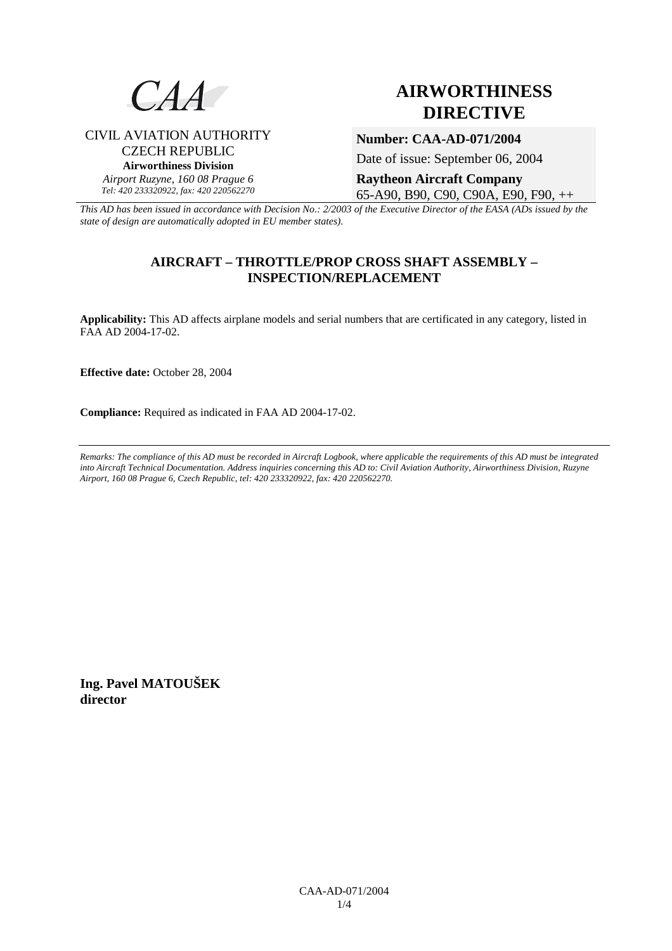

# **AIRWORTHINESS DIRECTIVE**

# CIVIL AVIATION AUTHORITY CZECH REPUBLIC **Airworthiness Division**  *Airport Ruzyne, 160 08 Prague 6*

*Tel: 420 233320922, fax: 420 220562270*

**Number: CAA-AD-071/2004** 

Date of issue: September 06, 2004

**Raytheon Aircraft Company**  65-A90, B90, C90, C90A, E90, F90, ++

*This AD has been issued in accordance with Decision No.: 2/2003 of the Executive Director of the EASA (ADs issued by the state of design are automatically adopted in EU member states).*

# **AIRCRAFT – THROTTLE/PROP CROSS SHAFT ASSEMBLY – INSPECTION/REPLACEMENT**

**Applicability:** This AD affects airplane models and serial numbers that are certificated in any category, listed in FAA AD 2004-17-02.

**Effective date:** October 28, 2004

**Compliance:** Required as indicated in FAA AD 2004-17-02.

*Remarks: The compliance of this AD must be recorded in Aircraft Logbook, where applicable the requirements of this AD must be integrated into Aircraft Technical Documentation. Address inquiries concerning this AD to: Civil Aviation Authority, Airworthiness Division, Ruzyne Airport, 160 08 Prague 6, Czech Republic, tel: 420 233320922, fax: 420 220562270.* 

**Ing. Pavel MATOUŠEK director**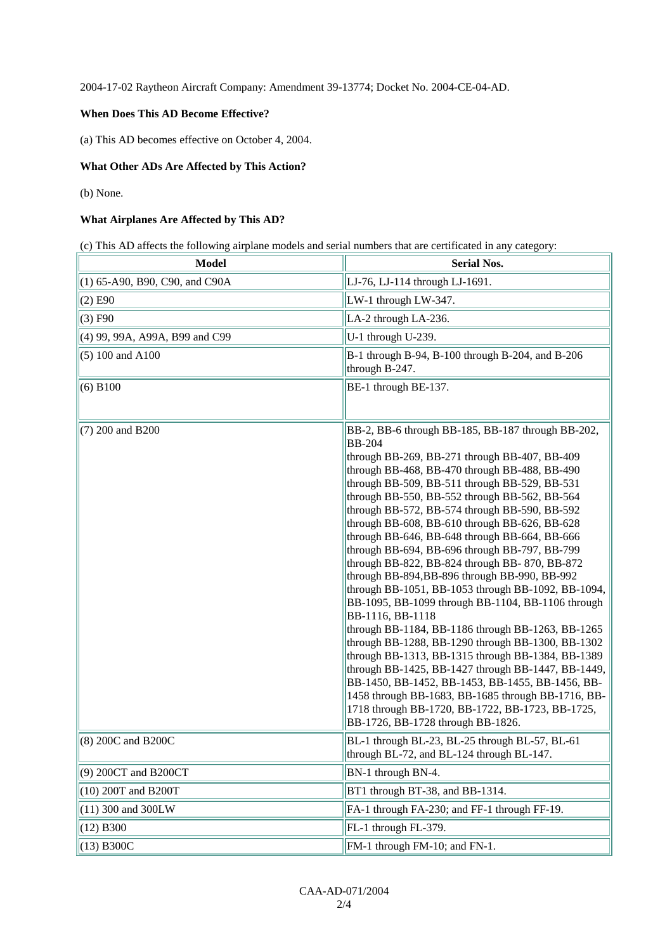2004-17-02 Raytheon Aircraft Company: Amendment 39-13774; Docket No. 2004-CE-04-AD.

### **When Does This AD Become Effective?**

(a) This AD becomes effective on October 4, 2004.

### **What Other ADs Are Affected by This Action?**

(b) None.

#### **What Airplanes Are Affected by This AD?**

(c) This AD affects the following airplane models and serial numbers that are certificated in any category:

| <b>Model</b>                     | <b>Serial Nos.</b>                                                                                                                                                                                                                                                                                                                                                                                                                                                                                                                                                                                                                                                                                                                                                                                                                                                                                                                                                                                                                                                                                                                  |  |
|----------------------------------|-------------------------------------------------------------------------------------------------------------------------------------------------------------------------------------------------------------------------------------------------------------------------------------------------------------------------------------------------------------------------------------------------------------------------------------------------------------------------------------------------------------------------------------------------------------------------------------------------------------------------------------------------------------------------------------------------------------------------------------------------------------------------------------------------------------------------------------------------------------------------------------------------------------------------------------------------------------------------------------------------------------------------------------------------------------------------------------------------------------------------------------|--|
| $(1)$ 65-A90, B90, C90, and C90A | LJ-76, LJ-114 through LJ-1691.                                                                                                                                                                                                                                                                                                                                                                                                                                                                                                                                                                                                                                                                                                                                                                                                                                                                                                                                                                                                                                                                                                      |  |
| $(2)$ E90                        | LW-1 through LW-347.                                                                                                                                                                                                                                                                                                                                                                                                                                                                                                                                                                                                                                                                                                                                                                                                                                                                                                                                                                                                                                                                                                                |  |
| (3) F90                          | LA-2 through LA-236.                                                                                                                                                                                                                                                                                                                                                                                                                                                                                                                                                                                                                                                                                                                                                                                                                                                                                                                                                                                                                                                                                                                |  |
| (4) 99, 99A, A99A, B99 and C99   | U-1 through U-239.                                                                                                                                                                                                                                                                                                                                                                                                                                                                                                                                                                                                                                                                                                                                                                                                                                                                                                                                                                                                                                                                                                                  |  |
| $(5) 100$ and A100               | B-1 through B-94, B-100 through B-204, and B-206<br>through B-247.                                                                                                                                                                                                                                                                                                                                                                                                                                                                                                                                                                                                                                                                                                                                                                                                                                                                                                                                                                                                                                                                  |  |
| (6) B100                         | BE-1 through BE-137.                                                                                                                                                                                                                                                                                                                                                                                                                                                                                                                                                                                                                                                                                                                                                                                                                                                                                                                                                                                                                                                                                                                |  |
| (7) 200 and B200                 | BB-2, BB-6 through BB-185, BB-187 through BB-202,<br><b>BB-204</b><br>through BB-269, BB-271 through BB-407, BB-409<br>through BB-468, BB-470 through BB-488, BB-490<br>through BB-509, BB-511 through BB-529, BB-531<br>through BB-550, BB-552 through BB-562, BB-564<br>through BB-572, BB-574 through BB-590, BB-592<br>through BB-608, BB-610 through BB-626, BB-628<br>through BB-646, BB-648 through BB-664, BB-666<br>through BB-694, BB-696 through BB-797, BB-799<br>through BB-822, BB-824 through BB-870, BB-872<br>through BB-894, BB-896 through BB-990, BB-992<br>through BB-1051, BB-1053 through BB-1092, BB-1094,<br>BB-1095, BB-1099 through BB-1104, BB-1106 through<br>BB-1116, BB-1118<br>through BB-1184, BB-1186 through BB-1263, BB-1265<br>through BB-1288, BB-1290 through BB-1300, BB-1302<br>through BB-1313, BB-1315 through BB-1384, BB-1389<br>through BB-1425, BB-1427 through BB-1447, BB-1449,<br>BB-1450, BB-1452, BB-1453, BB-1455, BB-1456, BB-<br>1458 through BB-1683, BB-1685 through BB-1716, BB-<br>1718 through BB-1720, BB-1722, BB-1723, BB-1725,<br>BB-1726, BB-1728 through BB-1826. |  |
| (8) 200C and B200C               | BL-1 through BL-23, BL-25 through BL-57, BL-61<br>through BL-72, and BL-124 through BL-147.                                                                                                                                                                                                                                                                                                                                                                                                                                                                                                                                                                                                                                                                                                                                                                                                                                                                                                                                                                                                                                         |  |
| (9) 200CT and B200CT             | BN-1 through BN-4.                                                                                                                                                                                                                                                                                                                                                                                                                                                                                                                                                                                                                                                                                                                                                                                                                                                                                                                                                                                                                                                                                                                  |  |
| (10) 200T and B200T              | BT1 through BT-38, and BB-1314.                                                                                                                                                                                                                                                                                                                                                                                                                                                                                                                                                                                                                                                                                                                                                                                                                                                                                                                                                                                                                                                                                                     |  |
| (11) 300 and 300LW               | FA-1 through FA-230; and FF-1 through FF-19.                                                                                                                                                                                                                                                                                                                                                                                                                                                                                                                                                                                                                                                                                                                                                                                                                                                                                                                                                                                                                                                                                        |  |
| $(12)$ B300                      | FL-1 through FL-379.                                                                                                                                                                                                                                                                                                                                                                                                                                                                                                                                                                                                                                                                                                                                                                                                                                                                                                                                                                                                                                                                                                                |  |
| $(13)$ B300C                     | FM-1 through FM-10; and FN-1.                                                                                                                                                                                                                                                                                                                                                                                                                                                                                                                                                                                                                                                                                                                                                                                                                                                                                                                                                                                                                                                                                                       |  |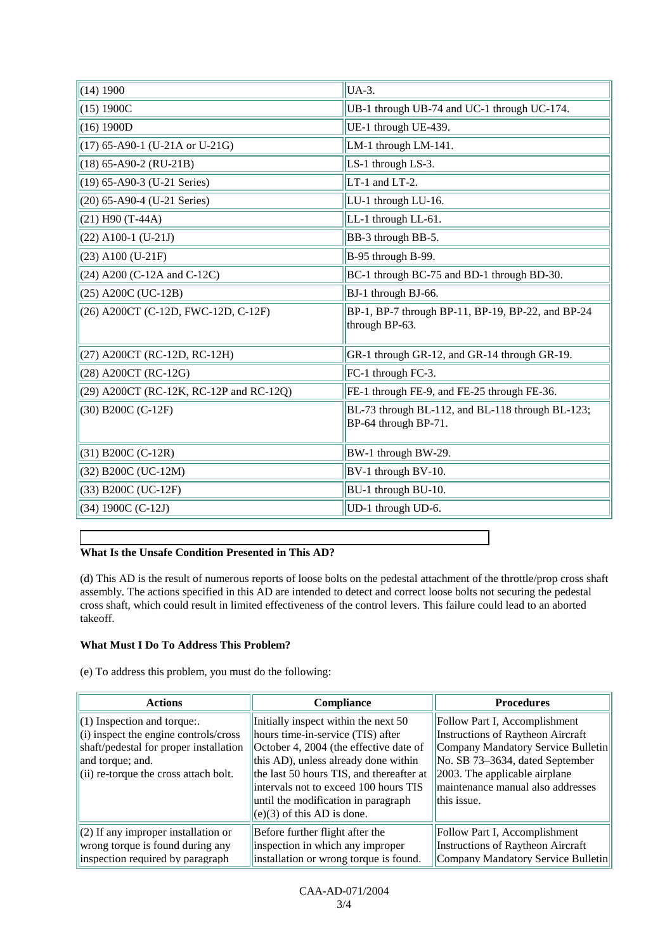| (14) 1900                               | UA-3.                                                                    |  |
|-----------------------------------------|--------------------------------------------------------------------------|--|
| (15) 1900C                              | UB-1 through UB-74 and UC-1 through UC-174.                              |  |
| (16) 1900D                              | UE-1 through UE-439.                                                     |  |
| $(17)$ 65-A90-1 (U-21A or U-21G)        | LM-1 through LM-141.                                                     |  |
| $(18)$ 65-A90-2 (RU-21B)                | LS-1 through LS-3.                                                       |  |
| (19) 65-A90-3 (U-21 Series)             | LT-1 and LT-2.                                                           |  |
| (20) 65-A90-4 (U-21 Series)             | LU-1 through LU-16.                                                      |  |
| $(21)$ H90 (T-44A)                      | LL-1 through LL-61.                                                      |  |
| $(22)$ A100-1 (U-21J)                   | BB-3 through BB-5.                                                       |  |
| $(23)$ A100 (U-21F)                     | B-95 through B-99.                                                       |  |
| $(24)$ A200 (C-12A and C-12C)           | BC-1 through BC-75 and BD-1 through BD-30.                               |  |
| (25) A200C (UC-12B)                     | BJ-1 through BJ-66.                                                      |  |
| (26) A200CT (C-12D, FWC-12D, C-12F)     | BP-1, BP-7 through BP-11, BP-19, BP-22, and BP-24<br>through BP-63.      |  |
| (27) A200CT (RC-12D, RC-12H)            | GR-1 through GR-12, and GR-14 through GR-19.                             |  |
| (28) A200CT (RC-12G)                    | FC-1 through FC-3.                                                       |  |
| (29) A200CT (RC-12K, RC-12P and RC-12Q) | FE-1 through FE-9, and FE-25 through FE-36.                              |  |
| (30) B200C (C-12F)                      | BL-73 through BL-112, and BL-118 through BL-123;<br>BP-64 through BP-71. |  |
| $(31)$ B200C (C-12R)                    | BW-1 through BW-29.                                                      |  |
| (32) B200C (UC-12M)                     | BV-1 through BV-10.                                                      |  |
| (33) B200C (UC-12F)                     | BU-1 through BU-10.                                                      |  |
| $(34) 1900C (C-12J)$                    | UD-1 through UD-6.                                                       |  |

## **What Is the Unsafe Condition Presented in This AD?**

(d) This AD is the result of numerous reports of loose bolts on the pedestal attachment of the throttle/prop cross shaft assembly. The actions specified in this AD are intended to detect and correct loose bolts not securing the pedestal cross shaft, which could result in limited effectiveness of the control levers. This failure could lead to an aborted takeoff.

## **What Must I Do To Address This Problem?**

(e) To address this problem, you must do the following:

| <b>Actions</b>                                                                                                                                                                         | <b>Compliance</b>                                                                                                                                                                                                                                                                                                       | <b>Procedures</b>                                                                                                                                                                                                                    |
|----------------------------------------------------------------------------------------------------------------------------------------------------------------------------------------|-------------------------------------------------------------------------------------------------------------------------------------------------------------------------------------------------------------------------------------------------------------------------------------------------------------------------|--------------------------------------------------------------------------------------------------------------------------------------------------------------------------------------------------------------------------------------|
| $(1)$ Inspection and torque:<br>$(i)$ inspect the engine controls/cross<br>shaft/pedestal for proper installation<br>and torque; and.<br>$\vert$ (ii) re-torque the cross attach bolt. | Initially inspect within the next 50<br>hours time-in-service (TIS) after<br>October 4, 2004 (the effective date of<br>this AD), unless already done within<br>the last 50 hours TIS, and thereafter at<br>intervals not to exceed 100 hours TIS<br>until the modification in paragraph<br>$(e)(3)$ of this AD is done. | Follow Part I, Accomplishment<br>Instructions of Raytheon Aircraft<br>Company Mandatory Service Bulletin<br>No. SB 73-3634, dated September<br>$ 2003$ . The applicable airplane<br>maintenance manual also addresses<br>this issue. |
| $(2)$ If any improper installation or<br>wrong torque is found during any<br>inspection required by paragraph                                                                          | Before further flight after the<br>inspection in which any improper<br>installation or wrong torque is found.                                                                                                                                                                                                           | Follow Part I, Accomplishment<br>Instructions of Raytheon Aircraft<br>Company Mandatory Service Bulletin                                                                                                                             |